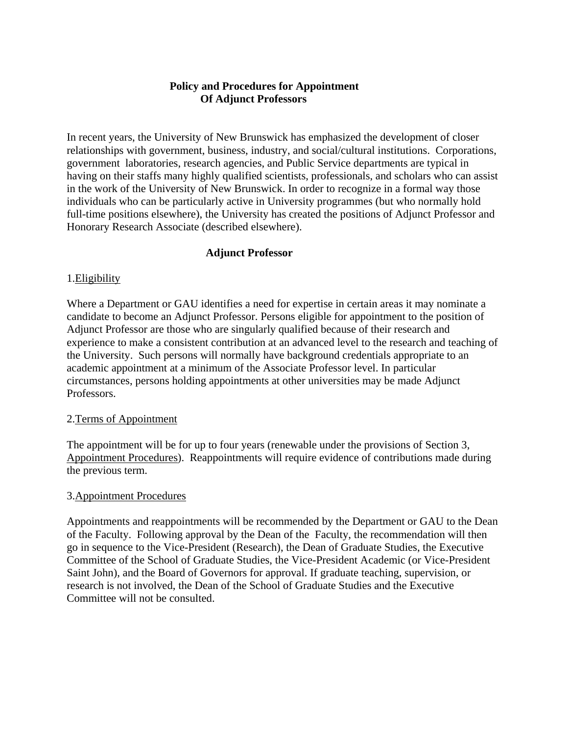# **Policy and Procedures for Appointment Of Adjunct Professors**

In recent years, the University of New Brunswick has emphasized the development of closer relationships with government, business, industry, and social/cultural institutions. Corporations, government laboratories, research agencies, and Public Service departments are typical in having on their staffs many highly qualified scientists, professionals, and scholars who can assist in the work of the University of New Brunswick. In order to recognize in a formal way those individuals who can be particularly active in University programmes (but who normally hold full-time positions elsewhere), the University has created the positions of Adjunct Professor and Honorary Research Associate (described elsewhere).

# **Adjunct Professor**

### 1.Eligibility

Where a Department or GAU identifies a need for expertise in certain areas it may nominate a candidate to become an Adjunct Professor. Persons eligible for appointment to the position of Adjunct Professor are those who are singularly qualified because of their research and experience to make a consistent contribution at an advanced level to the research and teaching of the University. Such persons will normally have background credentials appropriate to an academic appointment at a minimum of the Associate Professor level. In particular circumstances, persons holding appointments at other universities may be made Adjunct Professors.

#### 2.Terms of Appointment

The appointment will be for up to four years (renewable under the provisions of Section 3, Appointment Procedures). Reappointments will require evidence of contributions made during the previous term.

#### 3.Appointment Procedures

Appointments and reappointments will be recommended by the Department or GAU to the Dean of the Faculty. Following approval by the Dean of the Faculty, the recommendation will then go in sequence to the Vice-President (Research), the Dean of Graduate Studies, the Executive Committee of the School of Graduate Studies, the Vice-President Academic (or Vice-President Saint John), and the Board of Governors for approval. If graduate teaching, supervision, or research is not involved, the Dean of the School of Graduate Studies and the Executive Committee will not be consulted.